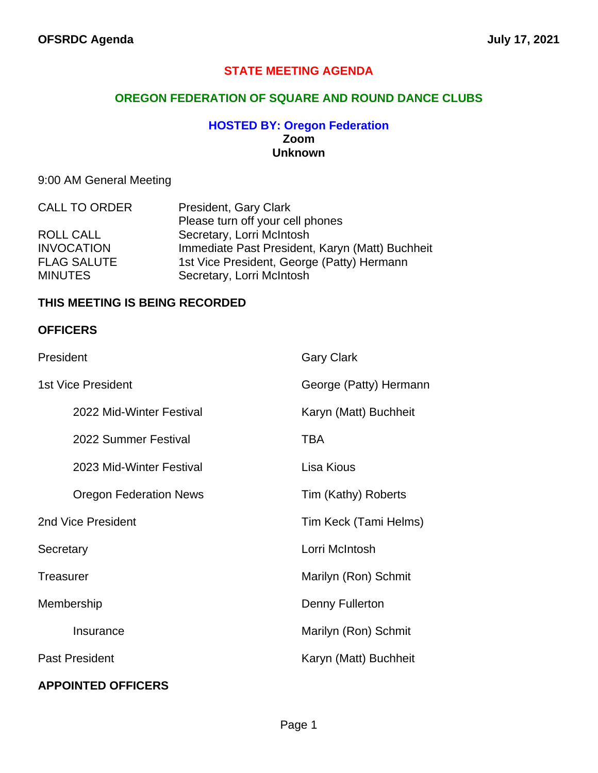#### **STATE MEETING AGENDA**

#### **OREGON FEDERATION OF SQUARE AND ROUND DANCE CLUBS**

#### **HOSTED BY: Oregon Federation Zoom Unknown**

#### 9:00 AM General Meeting

| <b>CALL TO ORDER</b> | President, Gary Clark                           |
|----------------------|-------------------------------------------------|
|                      | Please turn off your cell phones                |
| ROLL CALL            | Secretary, Lorri McIntosh                       |
| <b>INVOCATION</b>    | Immediate Past President, Karyn (Matt) Buchheit |
| <b>FLAG SALUTE</b>   | 1st Vice President, George (Patty) Hermann      |
| <b>MINUTES</b>       | Secretary, Lorri McIntosh                       |

#### **THIS MEETING IS BEING RECORDED**

#### **OFFICERS**

| President                     | <b>Gary Clark</b>      |
|-------------------------------|------------------------|
| <b>1st Vice President</b>     | George (Patty) Hermann |
| 2022 Mid-Winter Festival      | Karyn (Matt) Buchheit  |
| 2022 Summer Festival          | <b>TBA</b>             |
| 2023 Mid-Winter Festival      | Lisa Kious             |
| <b>Oregon Federation News</b> | Tim (Kathy) Roberts    |
| 2nd Vice President            | Tim Keck (Tami Helms)  |
| Secretary                     | Lorri McIntosh         |
| <b>Treasurer</b>              | Marilyn (Ron) Schmit   |
| Membership                    | Denny Fullerton        |
| Insurance                     | Marilyn (Ron) Schmit   |
| <b>Past President</b>         | Karyn (Matt) Buchheit  |
| <b>APPOINTED OFFICERS</b>     |                        |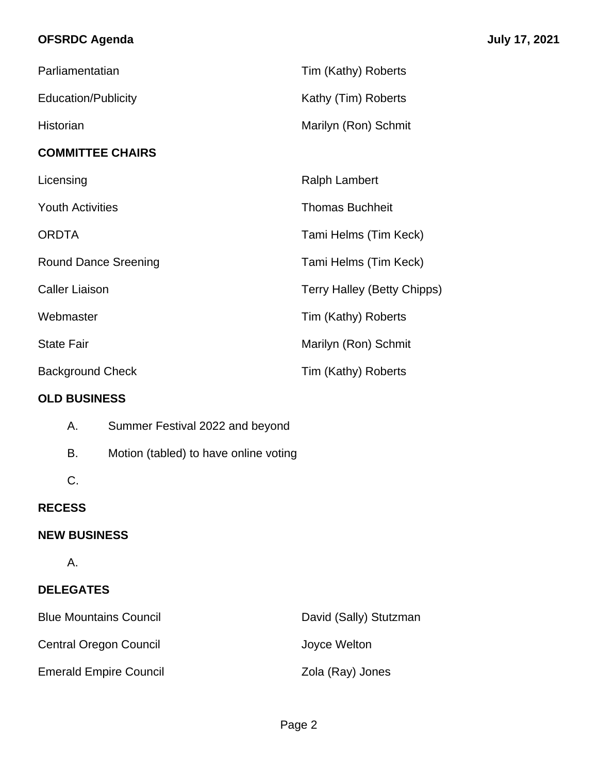## **OFSRDC Agenda July 17, 2021**

| Parliamentatian             | Tim (Kathy) Roberts                |
|-----------------------------|------------------------------------|
| <b>Education/Publicity</b>  | Kathy (Tim) Roberts                |
| Historian                   | Marilyn (Ron) Schmit               |
| <b>COMMITTEE CHAIRS</b>     |                                    |
| Licensing                   | <b>Ralph Lambert</b>               |
| <b>Youth Activities</b>     | <b>Thomas Buchheit</b>             |
| <b>ORDTA</b>                | Tami Helms (Tim Keck)              |
| <b>Round Dance Sreening</b> | Tami Helms (Tim Keck)              |
| <b>Caller Liaison</b>       | <b>Terry Halley (Betty Chipps)</b> |
| Webmaster                   | Tim (Kathy) Roberts                |
| <b>State Fair</b>           | Marilyn (Ron) Schmit               |
| <b>Background Check</b>     | Tim (Kathy) Roberts                |

### **OLD BUSINESS**

| А. | Summer Festival 2022 and beyond |  |
|----|---------------------------------|--|
|----|---------------------------------|--|

- B. Motion (tabled) to have online voting
- C.

## **RECESS**

### **NEW BUSINESS**

A.

## **DELEGATES**

| <b>Blue Mountains Council</b> | David (Sally) Stutzman |
|-------------------------------|------------------------|
| <b>Central Oregon Council</b> | Joyce Welton           |
| <b>Emerald Empire Council</b> | Zola (Ray) Jones       |